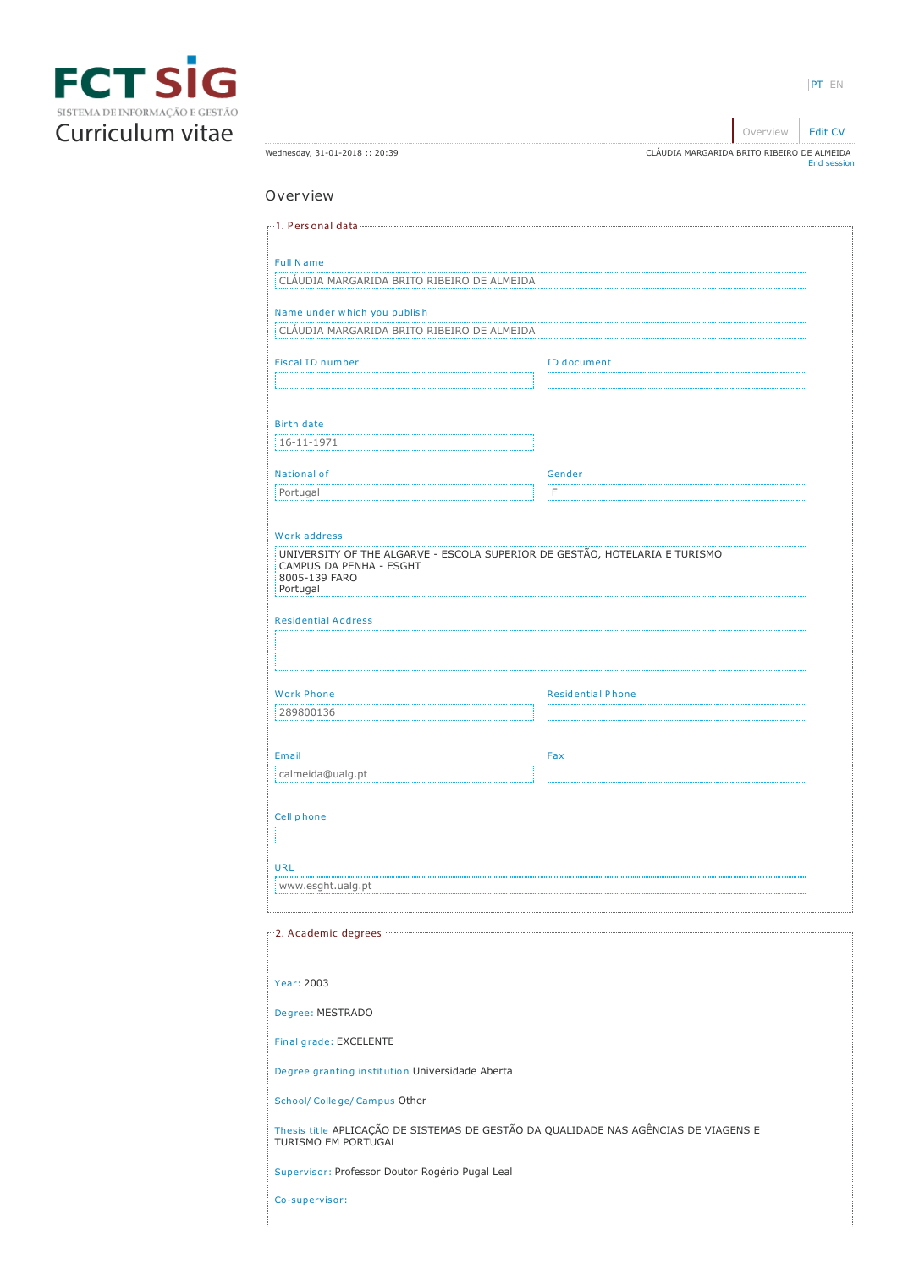

|                              | OVEI VIEW<br><b>LUIL CV</b>                |
|------------------------------|--------------------------------------------|
|                              |                                            |
| Wednesday, 31-01-2018: 20:39 | CLÁUDIA MARGARIDA BRITO RIBEIRO DE ALMEIDA |
|                              | End session                                |

# Overview

| <b>Full Name</b>                                                                                           |                          |  |  |
|------------------------------------------------------------------------------------------------------------|--------------------------|--|--|
| CLAUDIA MARGARIDA BRITO RIBEIRO DE ALMEIDA                                                                 |                          |  |  |
|                                                                                                            |                          |  |  |
| Name under which you publish                                                                               |                          |  |  |
| CLÁUDIA MARGARIDA BRITO RIBEIRO DE ALMEIDA                                                                 |                          |  |  |
| <b>Fiscal ID number</b>                                                                                    | ID document              |  |  |
|                                                                                                            |                          |  |  |
|                                                                                                            |                          |  |  |
|                                                                                                            |                          |  |  |
| <b>Birth date</b>                                                                                          |                          |  |  |
| 16-11-1971                                                                                                 |                          |  |  |
| National of                                                                                                | Gender                   |  |  |
| Portugal                                                                                                   | F                        |  |  |
|                                                                                                            |                          |  |  |
|                                                                                                            |                          |  |  |
| Work address                                                                                               |                          |  |  |
| UNIVERSITY OF THE ALGARVE - ESCOLA SUPERIOR DE GESTÃO, HOTELARIA E TURISMO<br>CAMPUS DA PENHA - ESGHT      |                          |  |  |
| 8005-139 FARO                                                                                              |                          |  |  |
| Portugal                                                                                                   |                          |  |  |
| <b>Residential Address</b>                                                                                 |                          |  |  |
|                                                                                                            |                          |  |  |
|                                                                                                            |                          |  |  |
|                                                                                                            |                          |  |  |
| <b>Work Phone</b>                                                                                          | <b>Residential Phone</b> |  |  |
| 289800136                                                                                                  |                          |  |  |
|                                                                                                            |                          |  |  |
| Email                                                                                                      | Fax                      |  |  |
| calmeida@ualg.pt                                                                                           |                          |  |  |
|                                                                                                            |                          |  |  |
|                                                                                                            |                          |  |  |
| Cell phone                                                                                                 |                          |  |  |
|                                                                                                            |                          |  |  |
| <b>URL</b>                                                                                                 |                          |  |  |
| www.esght.ualg.pt                                                                                          |                          |  |  |
|                                                                                                            |                          |  |  |
|                                                                                                            |                          |  |  |
|                                                                                                            |                          |  |  |
|                                                                                                            |                          |  |  |
| Year: 2003                                                                                                 |                          |  |  |
|                                                                                                            |                          |  |  |
| Degree: MESTRADO                                                                                           |                          |  |  |
|                                                                                                            |                          |  |  |
| Final grade: EXCELENTE                                                                                     |                          |  |  |
| Degree granting institution Universidade Aberta                                                            |                          |  |  |
| School/ College/ Campus Other                                                                              |                          |  |  |
| Thesis title APLICAÇÃO DE SISTEMAS DE GESTÃO DA QUALIDADE NAS AGÊNCIAS DE VIAGENS E<br>TURISMO EM PORTUGAL |                          |  |  |
| Supervisor: Professor Doutor Rogério Pugal Leal                                                            |                          |  |  |
| Co-supervisor:                                                                                             |                          |  |  |
|                                                                                                            |                          |  |  |
|                                                                                                            |                          |  |  |

Overview [Edit CV](https://sig.fct.pt/fctsig/cv/presentation.en/editCV.aspx)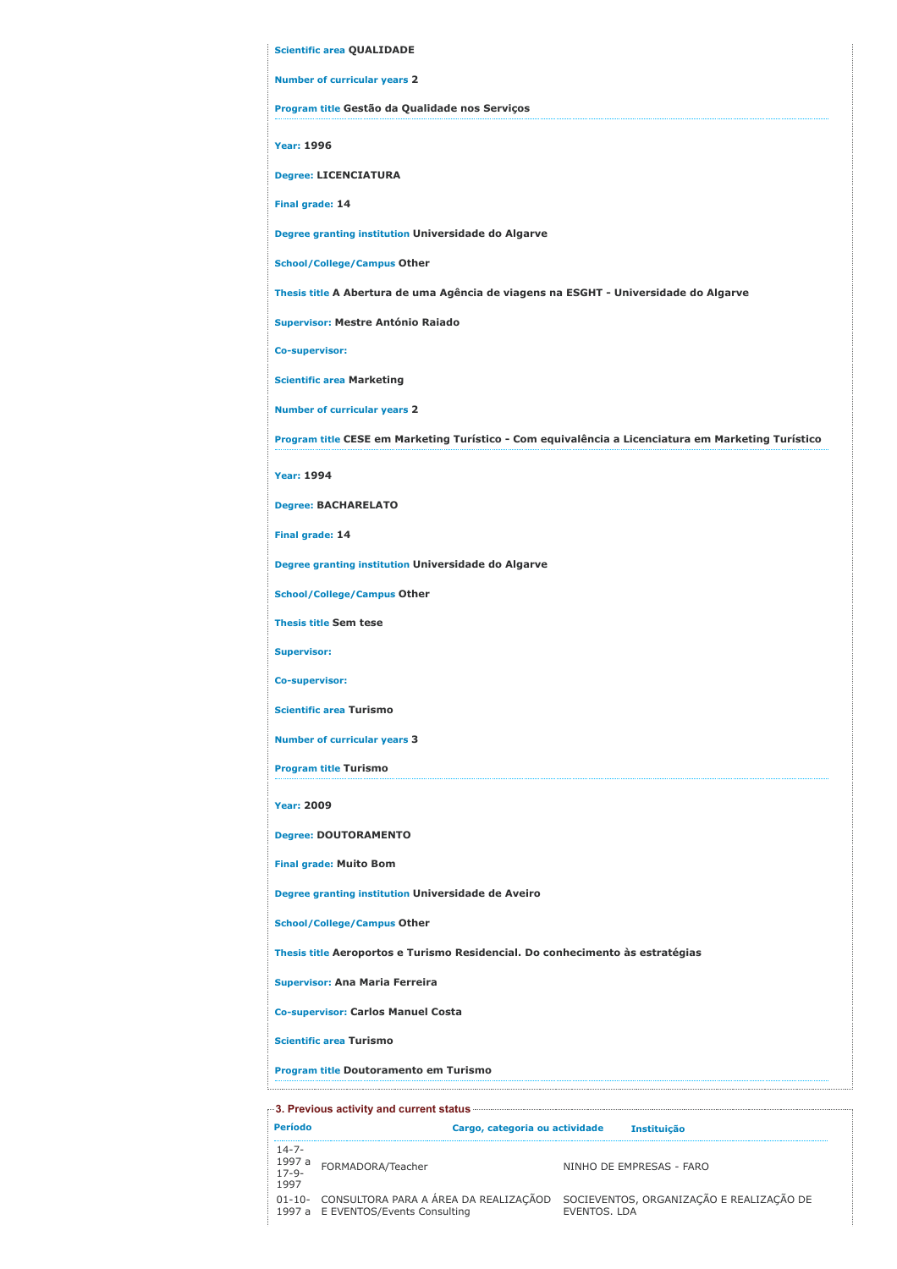| <b>Scientific area QUALIDADE</b>                                                                   |
|----------------------------------------------------------------------------------------------------|
| <b>Number of curricular years 2</b>                                                                |
| Program title Gestão da Qualidade nos Serviços                                                     |
| <b>Year: 1996</b>                                                                                  |
| <b>Degree: LICENCIATURA</b>                                                                        |
| Final grade: 14                                                                                    |
| Degree granting institution Universidade do Algarve                                                |
| <b>School/College/Campus Other</b>                                                                 |
| Thesis title A Abertura de uma Agência de viagens na ESGHT - Universidade do Algarve               |
| <b>Supervisor: Mestre António Raiado</b>                                                           |
| Co-supervisor:                                                                                     |
| <b>Scientific area Marketing</b>                                                                   |
| <b>Number of curricular years 2</b>                                                                |
| Program title CESE em Marketing Turístico - Com equivalência a Licenciatura em Marketing Turístico |
| <b>Year: 1994</b>                                                                                  |
| <b>Degree: BACHARELATO</b>                                                                         |
| Final grade: 14                                                                                    |
| Degree granting institution Universidade do Algarve                                                |
| <b>School/College/Campus Other</b>                                                                 |
| <b>Thesis title Sem tese</b>                                                                       |
| <b>Supervisor:</b>                                                                                 |
| Co-supervisor:                                                                                     |
| <b>Scientific area Turismo</b>                                                                     |
| <b>Number of curricular years 3</b>                                                                |
| <b>Program title Turismo</b>                                                                       |
| <b>Year: 2009</b>                                                                                  |
| <b>Degree: DOUTORAMENTO</b>                                                                        |
| <b>Final grade: Muito Bom</b>                                                                      |
| Degree granting institution Universidade de Aveiro                                                 |
| <b>School/College/Campus Other</b>                                                                 |
| Thesis title Aeroportos e Turismo Residencial. Do conhecimento às estratégias                      |
| <b>Supervisor: Ana Maria Ferreira</b>                                                              |
| <b>Co-supervisor: Carlos Manuel Costa</b>                                                          |
| <b>Scientific area Turismo</b>                                                                     |
| Program title Doutoramento em Turismo                                                              |

Período Cargo, categoria ou actividade Instituição 14-7- 1997 a 17-9- 1997 NINHO DE EMPRESAS - FARO 01-10- 1997 a CONSULTORA PARA A ÁREA DA REALIZAÇÃOD E EVENTOS/Events Consulting SOCIEVENTOS, ORGANIZAÇÃO E REALIZAÇÃO DE EVENTOS. LDA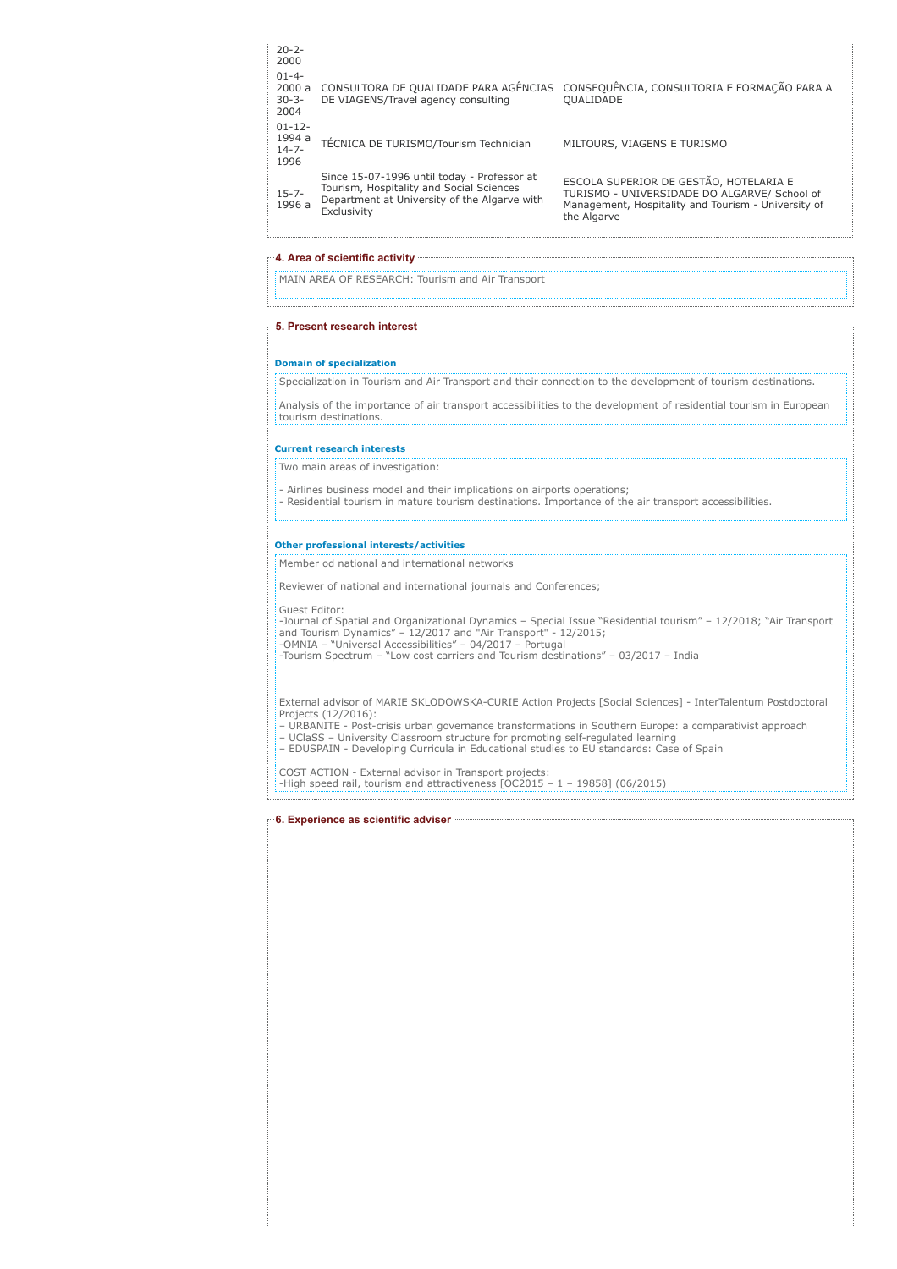| $20 - 2 -$<br>2000                          |                                                                                                                                                        |                                                                                                                                                              |
|---------------------------------------------|--------------------------------------------------------------------------------------------------------------------------------------------------------|--------------------------------------------------------------------------------------------------------------------------------------------------------------|
| $01 - 4 -$<br>2000a<br>$30 - 3 -$<br>2004   | CONSULTORA DE QUALIDADE PARA AGÊNCIAS<br>DE VIAGENS/Travel agency consulting                                                                           | CONSEQUÊNCIA, CONSULTORIA E FORMAÇÃO PARA A<br><b>OUALIDADE</b>                                                                                              |
| $01 - 12 -$<br>1994 a<br>$14 - 7 -$<br>1996 | TÉCNICA DE TURISMO/Tourism Technician                                                                                                                  | MILTOURS, VIAGENS E TURISMO                                                                                                                                  |
| $15 - 7 -$<br>1996 a                        | Since 15-07-1996 until today - Professor at<br>Tourism, Hospitality and Social Sciences<br>Department at University of the Algarve with<br>Exclusivity | ESCOLA SUPERIOR DE GESTÃO, HOTELARIA E<br>TURISMO - UNIVERSIDADE DO ALGARVE/ School of<br>Management, Hospitality and Tourism - University of<br>the Algarve |

## 4. Area of scientific activity

MAIN AREA OF RESEARCH: Tourism and Air Transport 

5. Present research interest

#### Domain of specialization

Specialization in Tourism and Air Transport and their connection to the development of tourism destinations.

Analysis of the importance of air transport accessibilities to the development of residential tourism in European tourism destinations.

## Current research interests

Two main areas of investigation:

- Airlines business model and their implications on airports operations; - Residential tourism in mature tourism destinations. Importance of the air transport accessibilities.

#### Other professional interests/activities

Member od national and international networks

Reviewer of national and international journals and Conferences;

Guest Editor:

-Journal of Spatial and Organizational Dynamics – Special Issue "Residential tourism" – 12/2018; "Air Transport<br>and Tourism Dynamics" – 12/2017 and "Air Transport" - 12/2015;<br>-OMNIA – "Universal Accessibilities" – 04/2017

External advisor of MARIE SKLODOWSKA-CURIE Action Projects [Social Sciences] - InterTalentum Postdoctoral Projects (12/2016):

– URBANITE - Post-crisis urban governance transformations in Southern Europe: a comparativist approach<br>– UClaSS – University Classroom structure for promoting self-regulated learning<br>– EDUSPAIN - Developing Curricula in Ed

COST ACTION - External advisor in Transport projects: -High speed rail, tourism and attractiveness [OC2015 – 1 – 19858] (06/2015)

## 6. Experience as scientific adviser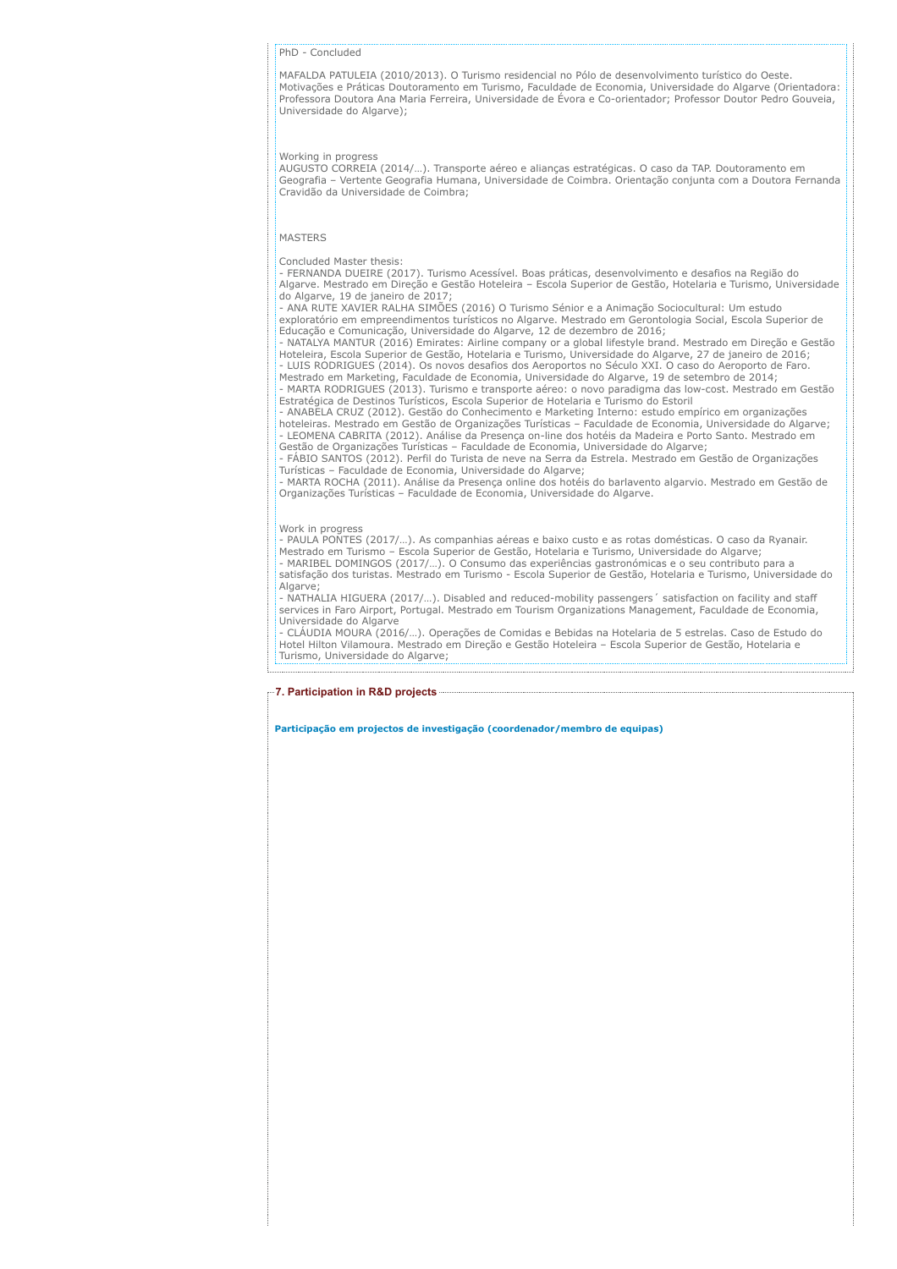#### PhD - Concluded

MAFALDA PATULEIA (2010/2013). O Turismo residencial no Pólo de desenvolvimento turístico do Oeste. Motivações e Práticas Doutoramento em Turismo, Faculdade de Economia, Universidade do Algarve (Orientadora: Professora Doutora Ana Maria Ferreira, Universidade de Évora e Co-orientador; Professor Doutor Pedro Gouveia, Universidade do Algarve);

## Working in progress

AUGUSTO CORREIA (2014/…). Transporte aéreo e alianças estratégicas. O caso da TAP. Doutoramento em Geografia – Vertente Geografia Humana, Universidade de Coimbra. Orientação conjunta com a Doutora Fernanda Cravidão da Universidade de Coimbra;

## MASTERS

#### Concluded Master thesis:

- FERNANDA DUEIRE (2017). Turismo Acessível. Boas práticas, desenvolvimento e desafios na Região do Algarve. Mestrado em Direção e Gestão Hoteleira – Escola Superior de Gestão, Hotelaria e Turismo, Universidade do Algarve, 19 de janeiro de 2017

- ANA RUTE XAVIER RALHA SIMÕES (2016) O Turismo Sénior e a Animação Sociocultural: Um estudo exploratório em empreendimentos turísticos no Algarve. Mestrado em Gerontologia Social, Escola Superior de Educação e Comunicação, Universidade do Algarve, 12 de dezembro de 2016;

- NATALYA MANTUR (2016) Emirates: Airline company or a global lifestyle brand. Mestrado em Direção e Gestão Hoteleira, Escola Superior de Gestão, Hotelaria e Turismo, Universidade do Algarve, 27 de janeiro de 2016;

- LUIS RODRIGUES (2014). Os novos desafios dos Aeroportos no Século XXI. O caso do Aeroporto de Faro. Mestrado em Marketing, Faculdade de Economia, Universidade do Algarve, 19 de setembro de 2014; - MARTA RODRIGUES (2013). Turismo e transporte aéreo: o novo paradigma das low-cost. Mestrado em Gestão

Estratégica de Destinos Turísticos, Escola Superior de Hotelaria e Turismo do Estoril - ANABELA CRUZ (2012). Gestão do Conhecimento e Marketing Interno: estudo empírico em organizações hoteleiras. Mestrado em Gestão de Organizações Turísticas – Faculdade de Economia, Universidade do Algarve; - LEOMENA CABRITA (2012). Análise da Presença on-line dos hotéis da Madeira e Porto Santo. Mestrado em

Gestão de Organizações Turísticas – Faculdade de Economia, Universidade do Algarve; - FÁBIO SANTOS (2012). Perfil do Turista de neve na Serra da Estrela. Mestrado em Gestão de Organizações

Turísticas – Faculdade de Economia, Universidade do Algarve; - MARTA ROCHA (2011). Análise da Presença online dos hotéis do barlavento algarvio. Mestrado em Gestão de Organizações Turísticas – Faculdade de Economia, Universidade do Algarve.

#### Work in progress

- PAULA PONTES (2017/...). As companhias aéreas e baixo custo e as rotas domésticas. O caso da Ryanair.<br>Mestrado em Turismo – Escola Superior de Gestão, Hotelaria e Turismo, Universidade do Algarve;<br>- MARIBEL DOMINGOS (201

satisfação dos turistas. Mestrado em Turismo - Escola Superior de Gestão, Hotelaria e Turismo, Universidade do Algarve:

- NATHALIA HIGUERA (2017/…). Disabled and reduced-mobility passengers´ satisfaction on facility and staff services in Faro Airport, Portugal. Mestrado em Tourism Organizations Management, Faculdade de Economia, Universidade do Algarve

- CLÁUDIA MOURA (2016/…). Operações de Comidas e Bebidas na Hotelaria de 5 estrelas. Caso de Estudo do Hotel Hilton Vilamoura. Mestrado em Direção e Gestão Hoteleira – Escola Superior de Gestão, Hotelaria e Turismo, Universidade do Algarve;

#### 7. Participation in R&D projects

Participação em projectos de investigação (coordenador/membro de equipas)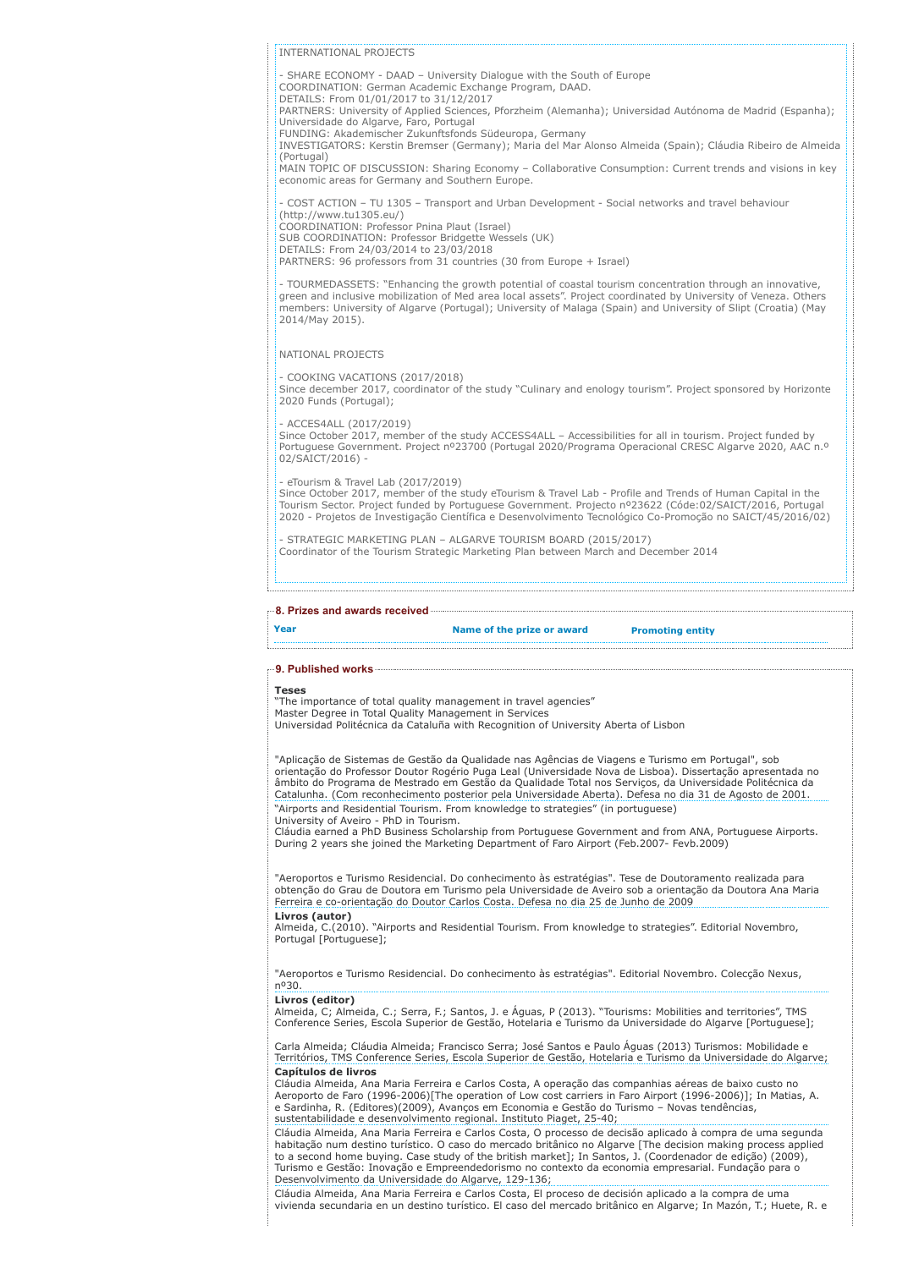#### INTERNATIONAL PROJECTS

- SHARE ECONOMY - DAAD – University Dialogue with the South of Europe COORDINATION: German Academic Exchange Program, DAAD.

DETAILS: From 01/01/2017 to 31/12/2017

PARTNERS: University of Applied Sciences, Pforzheim (Alemanha); Universidad Autónoma de Madrid (Espanha);

Universidade do Algarve, Faro, Portugal FUNDING: Akademischer Zukunftsfonds Südeuropa, Germany

INVESTIGATORS: Kerstin Bremser (Germany); Maria del Mar Alonso Almeida (Spain); Cláudia Ribeiro de Almeida (Portugal)

MAIN TOPIC OF DISCUSSION: Sharing Economy – Collaborative Consumption: Current trends and visions in key economic areas for Germany and Southern Europe.

- COST ACTION – TU 1305 – Transport and Urban Development - Social networks and travel behaviour (http://www.tu1305.eu/) COORDINATION: Professor Pnina Plaut (Israel) SUB COORDINATION: Professor Bridgette Wessels (UK)

DETAILS: From 24/03/2014 to 23/03/2018

PARTNERS: 96 professors from 31 countries (30 from Europe + Israel)

- TOURMEDASSETS: "Enhancing the growth potential of coastal tourism concentration through an innovative,<br>green and inclusive mobilization of Med area local assets". Project coordinated by University of Veneza. Others<br>membe 2014/May 2015).

NATIONAL PROJECTS

- COOKING VACATIONS (2017/2018)

Since december 2017, coordinator of the study "Culinary and enology tourism". Project sponsored by Horizonte 2020 Funds (Portugal);

- ACCES4ALL (2017/2019)

Since October 2017, member of the study ACCESS4ALL – Accessibilities for all in tourism. Project funded by Portuguese Government. Project nº23700 (Portugal 2020/Programa Operacional CRESC Algarve 2020, AAC n.º 02/SAICT/2016) -

eTourism & Travel Lab (2017/2019) Since October 2017, member of the study eTourism & Travel Lab - Profile and Trends of Human Capital in the Tourism Sector. Project funded by Portuguese Government. Projecto nº23622 (Códe:02/SAICT/2016, Portugal 2020 - Projetos de Investigação Científica e Desenvolvimento Tecnológico Co-Promoção no SAICT/45/2016/02)

- STRATEGIC MARKETING PLAN – ALGARVE TOURISM BOARD (2015/2017) Coordinator of the Tourism Strategic Marketing Plan between March and December 2014

# 8. Prizes and awards received

# Year **Name of the prize or award** Promoting entity

# 9. Published works

#### Teses

"The importance of total quality management in travel agencies" Master Degree in Total Quality Management in Services

Universidad Politécnica da Cataluña with Recognition of University Aberta of Lisbon

"Aplicação de Sistemas de Gestão da Qualidade nas Agências de Viagens e Turismo em Portugal", sob orientação do Professor Doutor Rogério Puga Leal (Universidade Nova de Lisboa). Dissertação apresentada no âmbito do Programa de Mestrado em Gestão da Qualidade Total nos Serviços, da Universidade Politécnica da Catalunha. (Com reconhecimento posterior pela Universidade Aberta). Defesa no dia 31 de Agosto de 2001. "Airports and Residential Tourism. From knowledge to strategies" (in portuguese) University of Aveiro - PhD in Tourism.

Cláudia earned a PhD Business Scholarship from Portuguese Government and from ANA, Portuguese Airports. During 2 years she joined the Marketing Department of Faro Airport (Feb.2007- Fevb.2009)

"Aeroportos e Turismo Residencial. Do conhecimento às estratégias". Tese de Doutoramento realizada para obtenção do Grau de Doutora em Turismo pela Universidade de Aveiro sob a orientação da Doutora Ana Maria Ferreira e co-orientação do Doutor Carlos Costa. Defesa no dia 25 de Junho de 2009

**Livros (autor)**<br>Almeida, C.(2010). "Airports and Residential Tourism. From knowledge to strategies". Editorial Novembro, Portugal [Portuguese];

"Aeroportos e Turismo Residencial. Do conhecimento às estratégias". Editorial Novembro. Colecção Nexus, nº30.

#### Livros (editor)

Almeida, C; Almeida, C.; Serra, F.; Santos, J. e Águas, P (2013). "Tourisms: Mobilities and territories", TMS Conference Series, Escola Superior de Gestão, Hotelaria e Turismo da Universidade do Algarve [Portuguese];

Carla Almeida; Cláudia Almeida; Francisco Serra; José Santos e Paulo Águas (2013) Turismos: Mobilidade e Territórios, TMS Conference Series, Escola Superior de Gestão, Hotelaria e Turismo da Universidade do Algarve; Capítulos de livros

Cláudia Almeida, Ana Maria Ferreira e Carlos Costa, A operação das companhias aéreas de baixo custo no Aeroporto de Faro (1996-2006)[The operation of Low cost carriers in Faro Airport (1996-2006)]; In Matias, A. e Sardinha, R. (Editores)(2009), Avanços em Economia e Gestão do Turismo – Novas tendências, sustentabilidade e desenvolvimento regional. Instituto Piaget, 25-40;

Cláudia Almeida, Ana Maria Ferreira e Carlos Costa, O processo de decisão aplicado à compra de uma segunda habitação num destino turístico. O caso do mercado britânico no Algarve [The decision making process applied<br>to a second home buying. Case study of the british market]; In Santos, J. (Coordenador de edição) (2009), Turismo e Gestão: Inovação e Empreendedorismo no contexto da economia empresarial. Fundação para o Desenvolvimento da Universidade do Algarve, 129-136;

Cláudia Almeida, Ana Maria Ferreira e Carlos Costa, El proceso de decisión aplicado a la compra de uma vivienda secundaria en un destino turístico. El caso del mercado britânico en Algarve; In Mazón, T.; Huete, R. e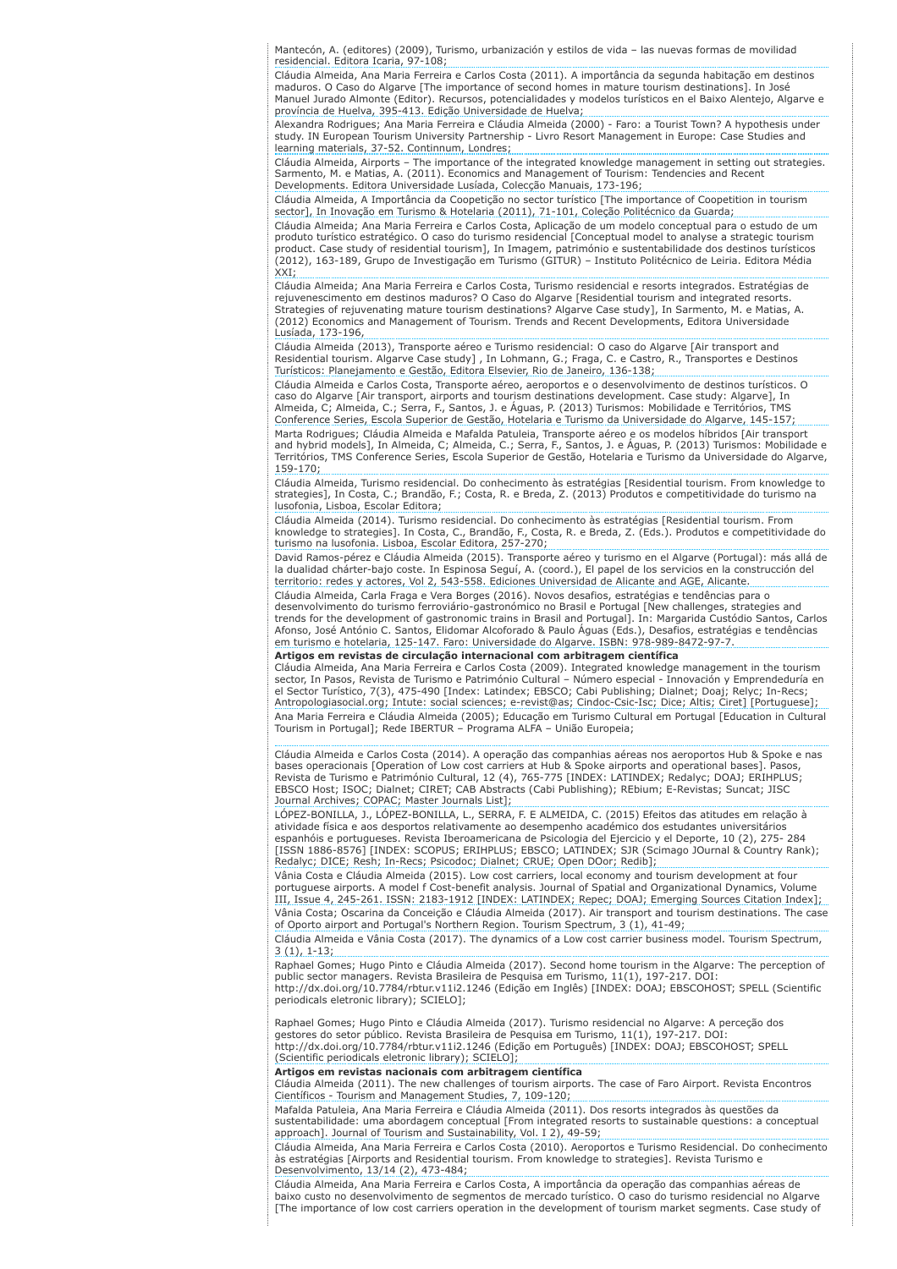Mantecón, A. (editores) (2009), Turismo, urbanización y estilos de vida – las nuevas formas de movilidad residencial. Editora Icaria, 97-108;

Cláudia Almeida, Ana Maria Ferreira e Carlos Costa (2011). A importância da segunda habitação em destinos maduros. O Caso do Algarve [The importance of second homes in mature tourism destinations]. In José Manuel Jurado Almonte (Editor). Recursos, potencialidades y modelos turísticos en el Baixo Alentejo, Algarve e província de Huelva, 395-413. Edição Universidade de Huelva;

Alexandra Rodrigues; Ana Maria Ferreira e Cláudia Almeida (2000) - Faro: a Tourist Town? A hypothesis under study. IN European Tourism University Partnership - Livro Resort Management in Europe: Case Studies and learning materials, 37-52. Continnum, Londres;

Cláudia Almeida, Airports – The importance of the integrated knowledge management in setting out strategies. Sarmento, M. e Matias, A. (2011). Economics and Management of Tourism: Tendencies and Recent Developments. Editora Universidade Lusíada, Colecção Manuais, 173-196;

Cláudia Almeida, A Importância da Coopetição no sector turístico [The importance of Coopetition in tourism sector], In Inovação em Turismo & Hotelaria (2011), 71-101, Coleção Politécnico da Guarda;

Cláudia Almeida; Ana Maria Ferreira e Carlos Costa, Aplicação de um modelo conceptual para o estudo de um produto turístico estratégico. O caso do turismo residencial [Conceptual model to analyse a strategic tourism product. Case study of residential tourism], In Imagem, património e sustentabilidade dos destinos turísticos (2012), 163-189, Grupo de Investigação em Turismo (GITUR) – Instituto Politécnico de Leiria. Editora Média XXI;

Cláudia Almeida; Ana Maria Ferreira e Carlos Costa, Turismo residencial e resorts integrados. Estratégias de rejuvenescimento em destinos maduros? O Caso do Algarve [Residential tourism and integrated resorts. Strategies of rejuvenating mature tourism destinations? Algarve Case study], In Sarmento, M. e Matias, A. (2012) Economics and Management of Tourism. Trends and Recent Developments, Editora Universidade Lusíada, 173-196,

Cláudia Almeida (2013), Transporte aéreo e Turismo residencial: O caso do Algarve [Air transport and Residential tourism. Algarve Case study] , In Lohmann, G.; Fraga, C. e Castro, R., Transportes e Destinos Turísticos: Planejamento e Gestão, Editora Elsevier, Rio de Janeiro, 136-138;

Cláudia Almeida e Carlos Costa, Transporte aéreo, aeroportos e o desenvolvimento de destinos turísticos. O caso do Algarve [Air transport, airports and tourism destinations development. Case study: Algarve], In Almeida, C; Almeida, C.; Serra, F., Santos, J. e Águas, P. (2013) Turismos: Mobilidade e Territórios, TMS Conference Series, Escola Superior de Gestão, Hotelaria e Turismo da Universidade do Algarve, 145-157; Marta Rodrigues; Cláudia Almeida e Mafalda Patuleia, Transporte aéreo e os modelos híbridos [Air transport and hybrid models], In Almeida, C; Almeida, C.; Serra, F., Santos, J. e Águas, P. (2013) Turismos: Mobilidade e Territórios, TMS Conference Series, Escola Superior de Gestão, Hotelaria e Turismo da Universidade do Algarve, 159-170;

Cláudia Almeida, Turismo residencial. Do conhecimento às estratégias [Residential tourism. From knowledge to strategies], In Costa, C.; Brandão, F.; Costa, R. e Breda, Z. (2013) Produtos e competitividade do turismo na lusofonia, Lisboa, Escolar Editora;

Cláudia Almeida (2014). Turismo residencial. Do conhecimento às estratégias [Residential tourism. From knowledge to strategies]. In Costa, C., Brandão, F., Costa, R. e Breda, Z. (Eds.). Produtos e competitividade do turismo na lusofonia. Lisboa, Escolar Editora, 257-270;

David Ramos-pérez e Cláudia Almeida (2015). Transporte aéreo y turismo en el Algarve (Portugal): más allá de la dualidad chárter-bajo coste. In Espinosa Seguí, A. (coord.), El papel de los servicios en la construcción del territorio: redes y actores, Vol 2, 543-558. Ediciones Universidad de Alicante and AGE, Alicante.

Cláudia Almeida, Carla Fraga e Vera Borges (2016). Novos desafios, estratégias e tendências para o desenvolvimento do turismo ferroviário-gastronómico no Brasil e Portugal [New challenges, strategies and

trends for the development of gastronomic trains in Brasil and Portugal]. In: Margarida Custódio Santos, Carlos Afonso, José António C. Santos, Elidomar Alcoforado & Paulo Águas (Eds.), Desafios, estratégias e tendências em turismo e hotelaria, 125-147. Faro: Universidade do Algarve. ISBN: 978-989-8472-97-7.

# Artigos em revistas de circulação internacional com arbitragem científica

Cláudia Almeida, Ana Maria Ferreira e Carlos Costa (2009). Integrated knowledge management in the tourism sector, In Pasos, Revista de Turismo e Património Cultural – Número especial - Innovación y Emprendeduría en el Sector Turístico, 7(3), 475-490 [Index: Latindex; EBSCO; Cabi Publishing; Dialnet; Doaj; Relyc; In-Recs; Antropologiasocial.org; Intute: social sciences; e-revist@as; Cindoc-Csic-Isc; Dice; Altis; Ciret] [Portuguese]; Ana Maria Ferreira e Cláudia Almeida (2005); Educação em Turismo Cultural em Portugal [Education in Cultural Tourism in Portugal]; Rede IBERTUR – Programa ALFA – União Europeia;

Cláudia Almeida e Carlos Costa (2014). A operação das companhias aéreas nos aeroportos Hub & Spoke e nas bases operacionais [Operation of Low cost carriers at Hub & Spoke airports and operational bases]. Pasos, Revista de Turismo e Património Cultural, 12 (4), 765-775 [INDEX: LATINDEX; Redalyc; DOAJ; ERIHPLUS; EBSCO Host; ISOC; Dialnet; CIRET; CAB Abstracts (Cabi Publishing); REbium; E-Revistas; Suncat; JISC Journal Archives; COPAC; Master Journals List];

LÓPEZ-BONILLA, J., LÓPEZ-BONILLA, L., SERRA, F. E ALMEIDA, C. (2015) Efeitos das atitudes em relação à atividade física e aos desportos relativamente ao desempenho académico dos estudantes universitários espanhóis e portugueses. Revista Iberoamericana de Psicologia del Ejercicio y el Deporte, 10 (2), 275- 284 [ISSN 1886-8576] [INDEX: SCOPUS; ERIHPLUS; EBSCO; LATINDEX; SJR (Scimago JOurnal & Country Rank); Redalyc; DICE; Resh; In-Recs; Psicodoc; Dialnet; CRUE; Open DOor; Redib];

Vânia Costa e Cláudia Almeida (2015). Low cost carriers, local economy and tourism development at four portuguese airports. A model f Cost-benefit analysis. Journal of Spatial and Organizational Dynamics, Volume III, Issue 4, 245-261. ISSN: 2183-1912 [INDEX: LATINDEX; Repec; DOAJ; Emerging Sources Citation Index]; Vânia Costa; Oscarina da Conceição e Cláudia Almeida (2017). Air transport and tourism destinations. The case of Oporto airport and Portugal's Northern Region. Tourism Spectrum, 3 (1), 41-49; Cláudia Almeida e Vânia Costa (2017). The dynamics of a Low cost carrier business model. Tourism Spectrum, 3 (1), 1-13;

Raphael Gomes; Hugo Pinto e Cláudia Almeida (2017). Second home tourism in the Algarve: The perception of public sector managers. Revista Brasileira de Pesquisa em Turismo, 11(1), 197-217. DOI: http://dx.doi.org/10.7784/rbtur.v11i2.1246 (Edição em Inglês) [INDEX: DOAJ; EBSCOHOST; SPELL (Scientific periodicals eletronic library); SCIELO];

Raphael Gomes; Hugo Pinto e Cláudia Almeida (2017). Turismo residencial no Algarve: A perceção dos gestores do setor público. Revista Brasileira de Pesquisa em Turismo, 11(1), 197-217. DOI: http://dx.doi.org/10.7784/rbtur.v11i2.1246 (Edição em Português) [INDEX: DOAJ; EBSCOHOST; SPELL

(Scientific periodicals eletronic library); SCIELO];

**Artigos em revistas nacionais com arbitragem científica**<br>Cláudia Almeida (2011). The new challenges of tourism airports. The case of Faro Airport. Revista Encontros Científicos - Tourism and Management Studies, 7, 109-120;

Mafalda Patuleia, Ana Maria Ferreira e Cláudia Almeida (2011). Dos resorts integrados às questões da sustentabilidade: uma abordagem conceptual [From integrated resorts to sustainable questions: a conceptual approach]. Journal of Tourism and Sustainability, Vol. I 2), 49-59;

Cláudia Almeida, Ana Maria Ferreira e Carlos Costa (2010). Aeroportos e Turismo Residencial. Do conhecimento às estratégias [Airports and Residential tourism. From knowledge to strategies]. Revista Turismo e Desenvolvimento, 13/14 (2), 473-484;

Cláudia Almeida, Ana Maria Ferreira e Carlos Costa, A importância da operação das companhias aéreas de baixo custo no desenvolvimento de segmentos de mercado turístico. O caso do turismo residencial no Algarve [The importance of low cost carriers operation in the development of tourism market segments. Case study of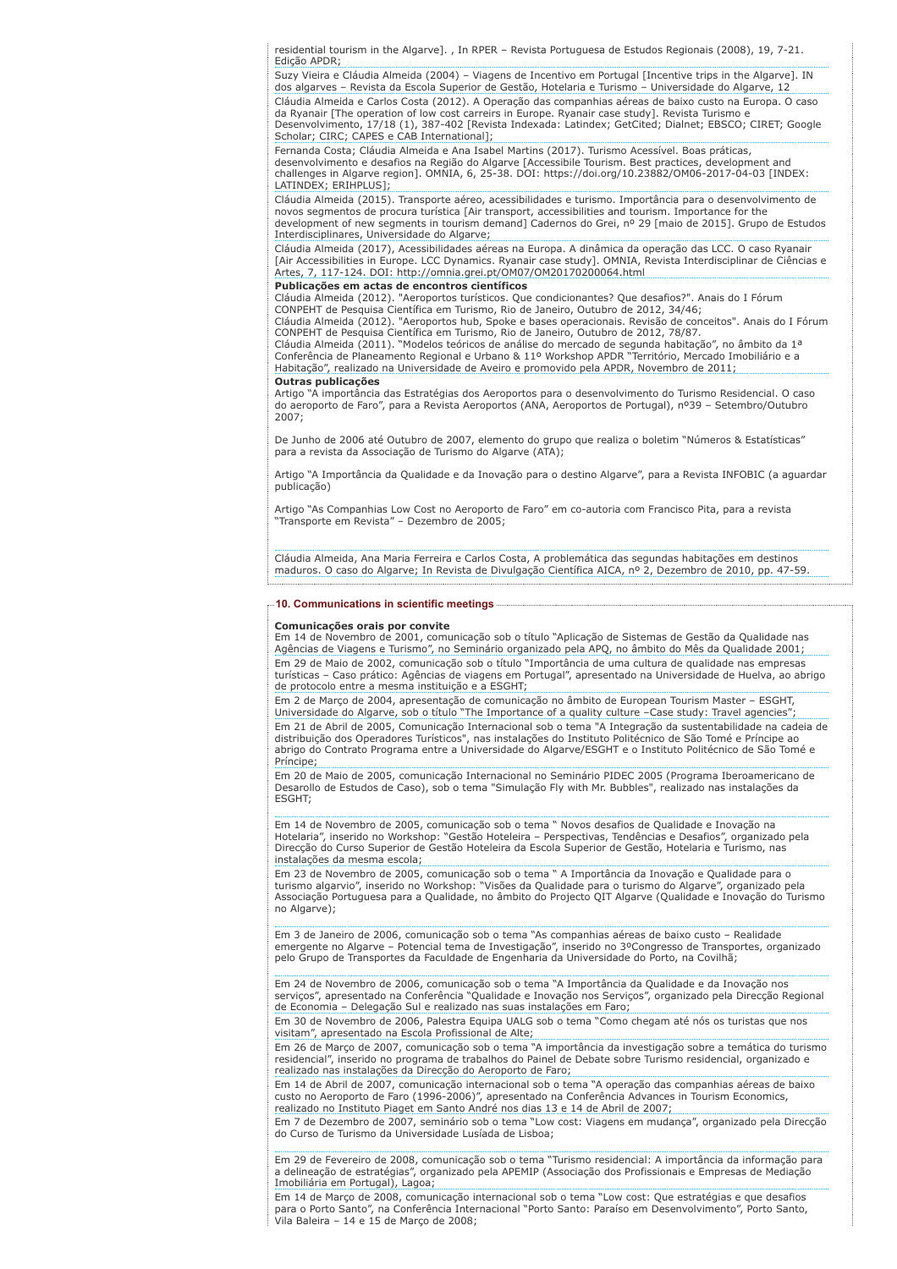residential tourism in the Algarve]. , In RPER – Revista Portuguesa de Estudos Regionais (2008), 19, 7-21. Edição APDR;

Suzy Vieira e Cláudia Almeida (2004) – Viagens de Incentivo em Portugal [Incentive trips in the Algarve]. IN dos algarves – Revista da Escola Superior de Gestão, Hotelaria e Turismo – Universidade do Algarve, 12 Cláudia Almeida e Carlos Costa (2012). A Operação das companhias aéreas de baixo custo na Europa. O caso da Ryanair [The operation of low cost carreirs in Europe. Ryanair case study]. Revista Turismo e Desenvolvimento, 17/18 (1), 387-402 [Revista Indexada: Latindex; GetCited; Dialnet; EBSCO; CIRET; Google Scholar; CIRC; CAPES e CAB International];

Fernanda Costa; Cláudia Almeida e Ana Isabel Martins (2017). Turismo Acessível. Boas práticas, desenvolvimento e desafios na Região do Algarve [Accessibile Tourism. Best practices, development and challenges in Algarve region]. OMNIA, 6, 25-38. DOI: https://doi.org/10.23882/OM06-2017-04-03 [INDEX: LATINDEX; ERIHPLUS];

Cláudia Almeida (2015). Transporte aéreo, acessibilidades e turismo. Importância para o desenvolvimento de novos segmentos de procura turística [Air transport, accessibilities and tourism. Importance for the development of new segments in tourism demand] Cadernos do Grei, nº 29 [maio de 2015]. Grupo de Estudos Interdisciplinares, Universidade do Algarve;

Cláudia Almeida (2017), Acessibilidades aéreas na Europa. A dinâmica da operação das LCC. O caso Ryanair [Air Accessibilities in Europe. LCC Dynamics. Ryanair case study]. OMNIA, Revista Interdisciplinar de Ciências e Artes, 7, 117-124. DOI: http://omnia.grei.pt/OM07/OM20170200064.html

# Publicações em actas de encontros científicos

Cláudia Almeida (2012). "Aeroportos turísticos. Que condicionantes? Que desafios?". Anais do I Fórum CONPEHT de Pesquisa Científica em Turismo, Rio de Janeiro, Outubro de 2012, 34/46;

Cláudia Almeida (2012). "Aeroportos hub, Spoke e bases operacionais. Revisão de conceitos". Anais do I Fórum

CONPEHT de Pesquisa Científica em Turismo, Rio de Janeiro, Outubro de 2012, 78/87.<br>Cláudia Almeida (2011). "Modelos teóricos de análise do mercado de segunda habitação", no âmbito da 1ª<br>Conferência de Planeamento Regional Habitação", realizado na Universidade de Aveiro e promovido pela APDR, Novembro de 2011; Outras publicações

Artigo "A importância das Estratégias dos Aeroportos para o desenvolvimento do Turismo Residencial. O caso do aeroporto de Faro", para a Revista Aeroportos (ANA, Aeroportos de Portugal), nº39 – Setembro/Outubro 2007;

De Junho de 2006 até Outubro de 2007, elemento do grupo que realiza o boletim "Números & Estatísticas" para a revista da Associação de Turismo do Algarve (ATA);

Artigo "A Importância da Qualidade e da Inovação para o destino Algarve", para a Revista INFOBIC (a aguardar publicação)

Artigo "As Companhias Low Cost no Aeroporto de Faro" em co-autoria com Francisco Pita, para a revista "Transporte em Revista" – Dezembro de 2005;

Cláudia Almeida, Ana Maria Ferreira e Carlos Costa, A problemática das segundas habitações em destinos maduros. O caso do Algarve; In Revista de Divulgação Científica AICA, nº 2, Dezembro de 2010, pp. 47-59.

## 10. Communications in scientific meetings

#### Comunicações orais por convite

Em 14 de Novembro de 2001, comunicação sob o título "Aplicação de Sistemas de Gestão da Qualidade nas Agências de Viagens e Turismo", no Seminário organizado pela APQ, no âmbito do Mês da Qualidade 2001; Em 29 de Maio de 2002, comunicação sob o título "Importância de uma cultura de qualidade nas empresas turísticas – Caso prático: Agências de viagens em Portugal", apresentado na Universidade de Huelva, ao abrigo de protocolo entre a mesma instituição e a ESGHT;

Em 2 de Março de 2004, apresentação de comunicação no âmbito de European Tourism Master – ESGHT, Universidade do Algarve, sob o título "The Importance of a quality culture –Case study: Travel agencies"; Em 21 de Abril de 2005, Comunicação Internacional sob o tema "A Integração da sustentabilidade na cadeia de distribuição dos Operadores Turísticos", nas instalações do Instituto Politécnico de São Tomé e Príncipe ao abrigo do Contrato Programa entre a Universidade do Algarve/ESGHT e o Instituto Politécnico de São Tomé e Príncipe;

Em 20 de Maio de 2005, comunicação Internacional no Seminário PIDEC 2005 (Programa Iberoamericano de Desarollo de Estudos de Caso), sob o tema "Simulação Fly with Mr. Bubbles", realizado nas instalações da ESGHT;

Em 14 de Novembro de 2005, comunicação sob o tema " Novos desafios de Qualidade e Inovação na Hotelaria", inserido no Workshop: "Gestão Hoteleira – Perspectivas, Tendências e Desafios", organizado pela Direcção do Curso Superior de Gestão Hoteleira da Escola Superior de Gestão, Hotelaria e Turismo, nas instalações da mesma escola;

Em 23 de Novembro de 2005, comunicação sob o tema " A Importância da Inovação e Qualidade para o turismo algarvio", inserido no Workshop: "Visões da Qualidade para o turismo do Algarve", organizado pela Associação Portuguesa para a Qualidade, no âmbito do Projecto QIT Algarve (Qualidade e Inovação do Turismo no Algarve);

Em 3 de Janeiro de 2006, comunicação sob o tema "As companhias aéreas de baixo custo – Realidade emergente no Algarve – Potencial tema de Investigação", inserido no 3ºCongresso de Transportes, organizado pelo Grupo de Transportes da Faculdade de Engenharia da Universidade do Porto, na Covilhã;

Em 24 de Novembro de 2006, comunicação sob o tema "A Importância da Qualidade e da Inovação nos serviços", apresentado na Conferência "Qualidade e Inovação nos Serviços", organizado pela Direcção Regional de Economia – Delegação Sul e realizado nas suas instalações em Faro;

Em 30 de Novembro de 2006, Palestra Equipa UALG sob o tema "Como chegam até nós os turistas que nos visitam", apresentado na Escola Profissional de Alte;

Em 26 de Março de 2007, comunicação sob o tema "A importância da investigação sobre a temática do turismo residencial", inserido no programa de trabalhos do Painel de Debate sobre Turismo residencial, organizado e realizado nas instalações da Direcção do Aeroporto de Faro;

Em 14 de Abril de 2007, comunicação internacional sob o tema "A operação das companhias aéreas de baixo custo no Aeroporto de Faro (1996-2006)", apresentado na Conferência Advances in Tourism Economics, realizado no Instituto Piaget em Santo André nos dias 13 e 14 de Abril de 2007;

Em 7 de Dezembro de 2007, seminário sob o tema "Low cost: Viagens em mudança", organizado pela Direcção do Curso de Turismo da Universidade Lusíada de Lisboa;

Em 29 de Fevereiro de 2008, comunicação sob o tema "Turismo residencial: A importância da informação para a delineação de estratégias", organizado pela APEMIP (Associação dos Profissionais e Empresas de Mediação Imobiliária em Portugal), Lagoa;

Em 14 de Março de 2008, comunicação internacional sob o tema "Low cost: Que estratégias e que desafios para o Porto Santo", na Conferência Internacional "Porto Santo: Paraíso em Desenvolvimento", Porto Santo, Vila Baleira – 14 e 15 de Março de 2008;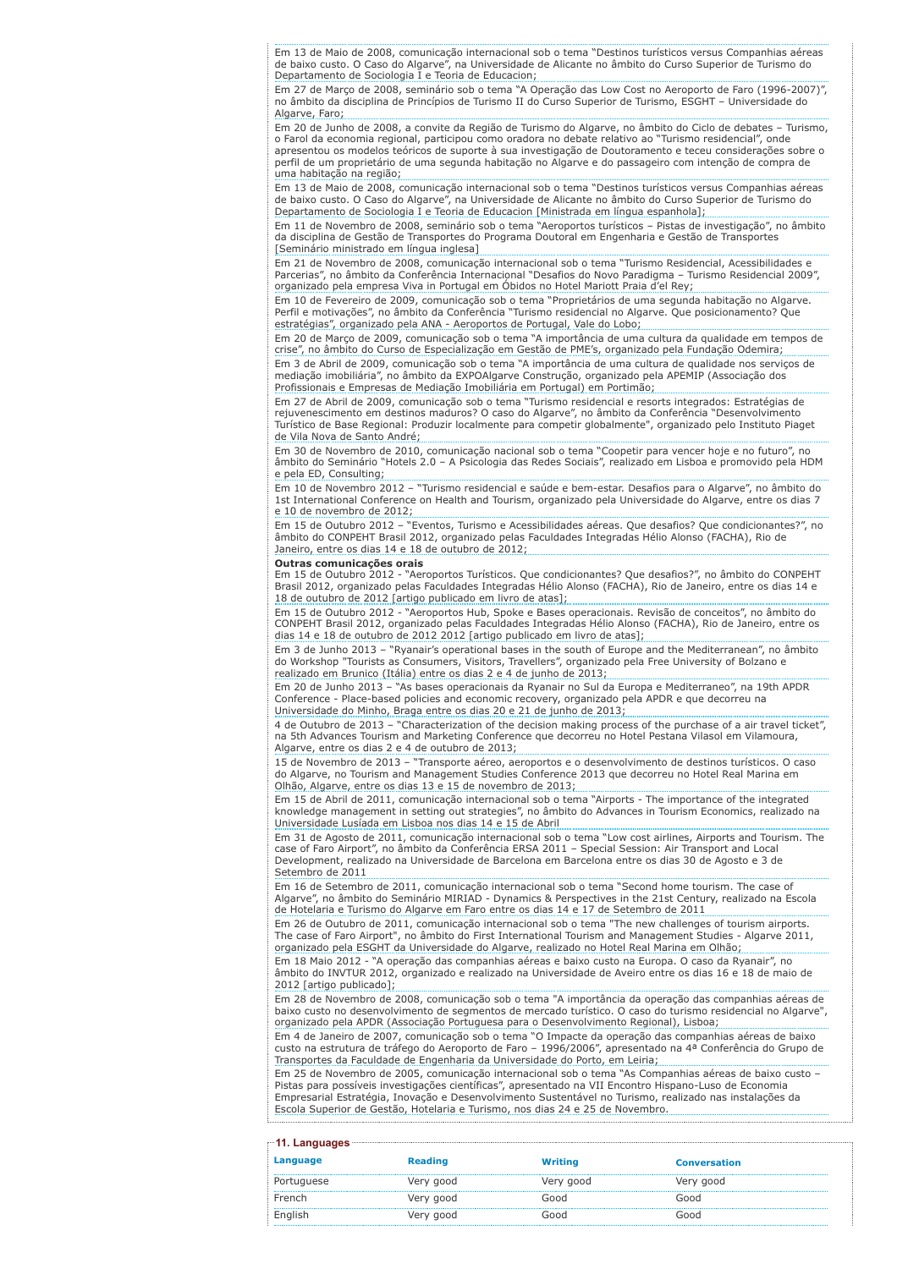Em 13 de Maio de 2008, comunicação internacional sob o tema "Destinos turísticos versus Companhias aéreas de baixo custo. O Caso do Algarve", na Universidade de Alicante no âmbito do Curso Superior de Turismo do Departamento de Sociologia I e Teoria de Educacion;

Em 27 de Março de 2008, seminário sob o tema "A Operação das Low Cost no Aeroporto de Faro (1996-2007)", no âmbito da disciplina de Princípios de Turismo II do Curso Superior de Turismo, ESGHT – Universidade do Algarve, Faro;

Em 20 de Junho de 2008, a convite da Região de Turismo do Algarve, no âmbito do Ciclo de debates – Turismo, o Farol da economia regional, participou como oradora no debate relativo ao "Turismo residencial", onde apresentou os modelos teóricos de suporte à sua investigação de Doutoramento e teceu considerações sobre o perfil de um proprietário de uma segunda habitação no Algarve e do passageiro com intenção de compra de uma habitação na região;

Em 13 de Maio de 2008, comunicação internacional sob o tema "Destinos turísticos versus Companhias aéreas de baixo custo. O Caso do Algarve", na Universidade de Alicante no âmbito do Curso Superior de Turismo do Departamento de Sociologia I e Teoria de Educacion [Ministrada em língua espanhola];

Em 11 de Novembro de 2008, seminário sob o tema "Aeroportos turísticos – Pistas de investigação", no âmbito da disciplina de Gestão de Transportes do Programa Doutoral em Engenharia e Gestão de Transportes [Seminário ministrado em língua inglesa]

Em 21 de Novembro de 2008, comunicação internacional sob o tema "Turismo Residencial, Acessibilidades e Parcerias", no âmbito da Conferência Internacional "Desafios do Novo Paradigma – Turismo Residencial 2009", organizado pela empresa Viva in Portugal em Óbidos no Hotel Mariott Praia d'el Rey;

Em 10 de Fevereiro de 2009, comunicação sob o tema "Proprietários de uma segunda habitação no Algarve. Perfil e motivações", no âmbito da Conferência "Turismo residencial no Algarve. Que posicionamento? Que estratégias", organizado pela ANA - Aeroportos de Portugal, Vale do Lobo;

Em 20 de Março de 2009, comunicação sob o tema "A importância de uma cultura da qualidade em tempos de crise", no âmbito do Curso de Especialização em Gestão de PME's, organizado pela Fundação Odemira; Em 3 de Abril de 2009, comunicação sob o tema "A importância de uma cultura de qualidade nos serviços de mediação imobiliária", no âmbito da EXPOAlgarve Construção, organizado pela APEMIP (Associação dos Profissionais e Empresas de Mediação Imobiliária em Portugal) em Portimão;

Em 27 de Abril de 2009, comunicação sob o tema "Turismo residencial e resorts integrados: Estratégias de rejuvenescimento em destinos maduros? O caso do Algarve", no âmbito da Conferência "Desenvolvimento Turístico de Base Regional: Produzir localmente para competir globalmente", organizado pelo Instituto Piaget de Vila Nova de Santo André;

Em 30 de Novembro de 2010, comunicação nacional sob o tema "Coopetir para vencer hoje e no futuro", no âmbito do Seminário "Hotels 2.0 – A Psicologia das Redes Sociais", realizado em Lisboa e promovido pela HDM e pela ED, Consulting;

Em 10 de Novembro 2012 – "Turismo residencial e saúde e bem-estar. Desafios para o Algarve", no âmbito do 1st International Conference on Health and Tourism, organizado pela Universidade do Algarve, entre os dias 7 e 10 de novembro de 2012;

Em 15 de Outubro 2012 – "Eventos, Turismo e Acessibilidades aéreas. Que desafios? Que condicionantes?", no âmbito do CONPEHT Brasil 2012, organizado pelas Faculdades Integradas Hélio Alonso (FACHA), Rio de Janeiro, entre os dias 14 e 18 de outubro de 2012;

#### Outras comunicações orais

Em 15 de Outubro 2012 - "Aeroportos Turísticos. Que condicionantes? Que desafios?", no âmbito do CONPEHT Brasil 2012, organizado pelas Faculdades Integradas Hélio Alonso (FACHA), Rio de Janeiro, entre os dias 14 e 18 de outubro de 2012 [artigo publicado em livro de atas];

Em 15 de Outubro 2012 - "Aeroportos Hub, Spoke e Bases operacionais. Revisão de conceitos", no âmbito do CONPEHT Brasil 2012, organizado pelas Faculdades Integradas Hélio Alonso (FACHA), Rio de Janeiro, entre os dias 14 e 18 de outubro de 2012 2012 [artigo publicado em livro de atas];

Em 3 de Junho 2013 – "Ryanair's operational bases in the south of Europe and the Mediterranean", no âmbito do Workshop "Tourists as Consumers, Visitors, Travellers", organizado pela Free University of Bolzano e realizado em Brunico (Itália) entre os dias 2 e 4 de junho de 2013;

Em 20 de Junho 2013 – "As bases operacionais da Ryanair no Sul da Europa e Mediterraneo", na 19th APDR Conference - Place-based policies and economic recovery, organizado pela APDR e que decorreu na Universidade do Minho, Braga entre os dias 20 e 21 de junho de 2013;

4 de Outubro de 2013 – "Characterization of the decision making process of the purchase of a air travel ticket", na 5th Advances Tourism and Marketing Conference que decorreu no Hotel Pestana Vilasol em Vilamoura, Algarve, entre os dias 2 e 4 de outubro de 2013;

15 de Novembro de 2013 – "Transporte aéreo, aeroportos e o desenvolvimento de destinos turísticos. O caso do Algarve, no Tourism and Management Studies Conference 2013 que decorreu no Hotel Real Marina em Olhão, Algarve, entre os dias 13 e 15 de novembro de 2013;

Em 15 de Abril de 2011, comunicação internacional sob o tema "Airports - The importance of the integrated knowledge management in setting out strategies", no âmbito do Advances in Tourism Economics, realizado na Universidade Lusíada em Lisboa nos dias 14 e 15 de Abril

Em 31 de Agosto de 2011, comunicação internacional sob o tema "Low cost airlines, Airports and Tourism. The case of Faro Airport", no âmbito da Conferência ERSA 2011 – Special Session: Air Transport and Local Development, realizado na Universidade de Barcelona em Barcelona entre os dias 30 de Agosto e 3 de Setembro de 2011

Em 16 de Setembro de 2011, comunicação internacional sob o tema "Second home tourism. The case of Algarve", no âmbito do Seminário MIRIAD - Dynamics & Perspectives in the 21st Century, realizado na Escola de Hotelaria e Turismo do Algarve em Faro entre os dias 14 e 17 de Setembro de 2011

Em 26 de Outubro de 2011, comunicação internacional sob o tema "The new challenges of tourism airports. The case of Faro Airport", no âmbito do First International Tourism and Management Studies - Algarve 2011, organizado pela ESGHT da Universidade do Algarve, realizado no Hotel Real Marina em Olhão; Em 18 Maio 2012 - "A operação das companhias aéreas e baixo custo na Europa. O caso da Ryanair", no âmbito do INVTUR 2012, organizado e realizado na Universidade de Aveiro entre os dias 16 e 18 de maio de 2012 [artigo publicado];

Em 28 de Novembro de 2008, comunicação sob o tema "A importância da operação das companhias aéreas de baixo custo no desenvolvimento de segmentos de mercado turístico. O caso do turismo residencial no Algarve", organizado pela APDR (Associação Portuguesa para o Desenvolvimento Regional), Lisboa; Em 4 de Janeiro de 2007, comunicação sob o tema "O Impacte da operação das companhias aéreas de baixo

custo na estrutura de tráfego do Aeroporto de Faro – 1996/2006", apresentado na 4ª Conferência do Grupo de Transportes da Faculdade de Engenharia da Universidade do Porto, em Leiria; Em 25 de Novembro de 2005, comunicação internacional sob o tema "As Companhias aéreas de baixo custo –

Pistas para possíveis investigações científicas", apresentado na VII Encontro Hispano-Luso de Economia Empresarial Estratégia, Inovação e Desenvolvimento Sustentável no Turismo, realizado nas instalações da Escola Superior de Gestão, Hotelaria e Turismo, nos dias 24 e 25 de Novembro.

| ≞11. Languages <sup>.</sup> |                |                |                     |  |
|-----------------------------|----------------|----------------|---------------------|--|
| Language                    | <b>Reading</b> | <b>Writing</b> | <b>Conversation</b> |  |
| Portuguese                  | Very good      | Very good      | Very good           |  |
| French                      | Very good      | hoof           | Good                |  |
| English                     | Very good      | hoor           | Good                |  |
|                             |                |                |                     |  |